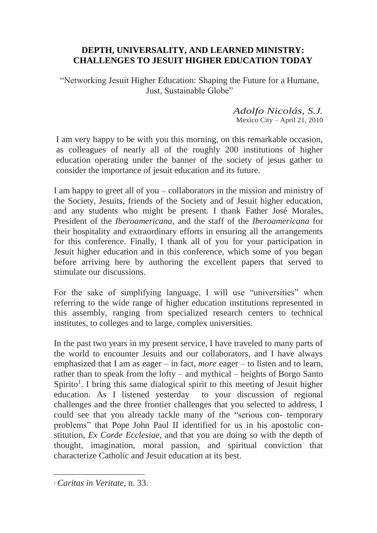#### **DEPTH, UNIVERSALITY, AND LEARNED MINISTRY: CHALLENGES TO JESUIT HIGHER EDUCATION TODAY**

"Networking Jesuit Higher Education: Shaping the Future for a Humane, Just, Sustainable Globe"

> *Adolfo Nicolás, S.J.* Mexico City – April 21, 2010

I am very happy to be with you this morning, on this remarkable occasion, as colleagues of nearly all of the roughly 200 institutions of higher education operating under the banner of the society of jesus gather to consider the importance of jesuit education and its future.

I am happy to greet all of you – collaborators in the mission and ministry of the Society, Jesuits, friends of the Society and of Jesuit higher education, and any students who might be present. I thank Father José Morales, President of the *Iberoamericana*, and the staff of the *Iberoamericana* for their hospitality and extraordinary efforts in ensuring all the arrangements for this conference. Finally, I thank all of you for your participation in Jesuit higher education and in this conference, which some of you began before arriving here by authoring the excellent papers that served to stimulate our discussions.

For the sake of simplifying language, I will use "universities" when referring to the wide range of higher education institutions represented in this assembly, ranging from specialized research centers to technical institutes, to colleges and to large, complex universities.

In the past two years in my present service, I have traveled to many parts of the world to encounter Jesuits and our collaborators, and I have always emphasized that I am as eager – in fact, *more* eager – to listen and to learn, rather than to speak from the lofty – and mythical – heights of Borgo Santo Spirito<sup>1</sup>. I bring this same dialogical spirit to this meeting of Jesuit higher education. As I listened yesterday to your discussion of regional challenges and the three frontier challenges that you selected to address, I could see that you already tackle many of the "serious con- temporary problems" that Pope John Paul II identified for us in his apostolic constitution, *Ex Corde Ecclesiae*, and that you are doing so with the depth of thought, imagination, moral passion, and spiritual conviction that characterize Catholic and Jesuit education at its best.

<sup>1</sup> *Caritas in Veritate*, n. 33.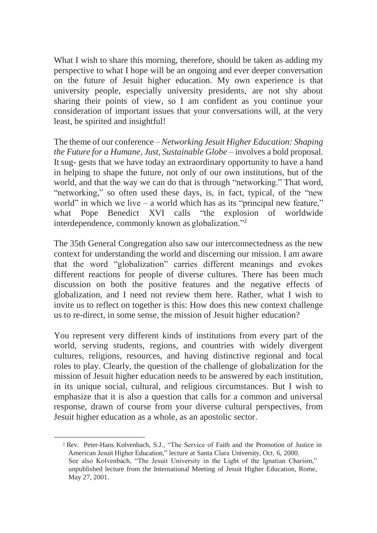What I wish to share this morning, therefore, should be taken as adding my perspective to what I hope will be an ongoing and ever deeper conversation on the future of Jesuit higher education. My own experience is that university people, especially university presidents, are not shy about sharing their points of view, so I am confident as you continue your consideration of important issues that your conversations will, at the very least, be spirited and insightful!

The theme of our conference – *Networking Jesuit Higher Education: Shaping the Future for a Humane, Just, Sustainable Globe* – involves a bold proposal. It sug- gests that we have today an extraordinary opportunity to have a hand in helping to shape the future, not only of our own institutions, but of the world, and that the way we can do that is through "networking." That word, "networking," so often used these days, is, in fact, typical, of the "new world" in which we live – a world which has as its "principal new feature," what Pope Benedict XVI calls "the explosion of worldwide interdependence, commonly known as globalization."<sup>2</sup>

The 35th General Congregation also saw our interconnectedness as the new context for understanding the world and discerning our mission. I am aware that the word "globalization" carries different meanings and evokes different reactions for people of diverse cultures. There has been much discussion on both the positive features and the negative effects of globalization, and I need not review them here. Rather, what I wish to invite us to reflect on together is this: How does this new context challenge us to re-direct, in some sense, the mission of Jesuit higher education?

You represent very different kinds of institutions from every part of the world, serving students, regions, and countries with widely divergent cultures, religions, resources, and having distinctive regional and local roles to play. Clearly, the question of the challenge of globalization for the mission of Jesuit higher education needs to be answered by each institution, in its unique social, cultural, and religious circumstances. But I wish to emphasize that it is also a question that calls for a common and universal response, drawn of course from your diverse cultural perspectives, from Jesuit higher education as a whole, as an apostolic sector.

<sup>2</sup> Rev. Peter-Hans Kolvenbach, S.J., "The Service of Faith and the Promotion of Justice in American Jesuit Higher Education," lecture at Santa Clara University, Oct. 6, 2000. See also Kolvenbach, "The Jesuit University in the Light of the Ignatian Charism," unpublished lecture from the International Meeting of Jesuit Higher Education, Rome, May 27, 2001.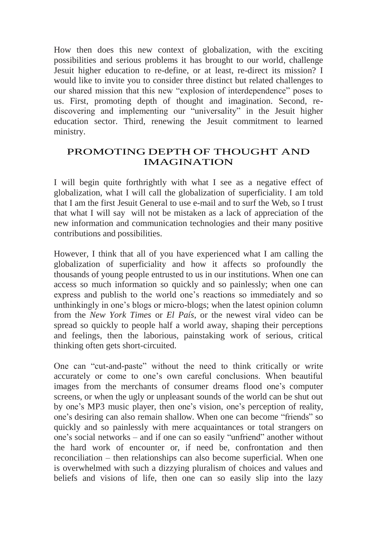How then does this new context of globalization, with the exciting possibilities and serious problems it has brought to our world, challenge Jesuit higher education to re-define, or at least, re-direct its mission? I would like to invite you to consider three distinct but related challenges to our shared mission that this new "explosion of interdependence" poses to us. First, promoting depth of thought and imagination. Second, rediscovering and implementing our "universality" in the Jesuit higher education sector. Third, renewing the Jesuit commitment to learned ministry.

### PROMOTING DEPTH OF THOUGHT AND IMAGINATION

I will begin quite forthrightly with what I see as a negative effect of globalization, what I will call the globalization of superficiality. I am told that I am the first Jesuit General to use e-mail and to surf the Web, so I trust that what I will say will not be mistaken as a lack of appreciation of the new information and communication technologies and their many positive contributions and possibilities.

However, I think that all of you have experienced what I am calling the globalization of superficiality and how it affects so profoundly the thousands of young people entrusted to us in our institutions. When one can access so much information so quickly and so painlessly; when one can express and publish to the world one's reactions so immediately and so unthinkingly in one's blogs or micro-blogs; when the latest opinion column from the *New York Times* or *El País*, or the newest viral video can be spread so quickly to people half a world away, shaping their perceptions and feelings, then the laborious, painstaking work of serious, critical thinking often gets short-circuited.

One can "cut-and-paste" without the need to think critically or write accurately or come to one's own careful conclusions. When beautiful images from the merchants of consumer dreams flood one's computer screens, or when the ugly or unpleasant sounds of the world can be shut out by one's MP3 music player, then one's vision, one's perception of reality, one's desiring can also remain shallow. When one can become "friends" so quickly and so painlessly with mere acquaintances or total strangers on one's social networks – and if one can so easily "unfriend" another without the hard work of encounter or, if need be, confrontation and then reconciliation – then relationships can also become superficial. When one is overwhelmed with such a dizzying pluralism of choices and values and beliefs and visions of life, then one can so easily slip into the lazy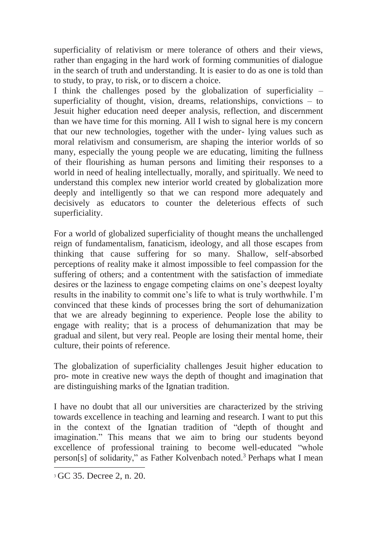superficiality of relativism or mere tolerance of others and their views, rather than engaging in the hard work of forming communities of dialogue in the search of truth and understanding. It is easier to do as one is told than to study, to pray, to risk, or to discern a choice.

I think the challenges posed by the globalization of superficiality – superficiality of thought, vision, dreams, relationships, convictions  $-$  to Jesuit higher education need deeper analysis, reflection, and discernment than we have time for this morning. All I wish to signal here is my concern that our new technologies, together with the under- lying values such as moral relativism and consumerism, are shaping the interior worlds of so many, especially the young people we are educating, limiting the fullness of their flourishing as human persons and limiting their responses to a world in need of healing intellectually, morally, and spiritually. We need to understand this complex new interior world created by globalization more deeply and intelligently so that we can respond more adequately and decisively as educators to counter the deleterious effects of such superficiality.

For a world of globalized superficiality of thought means the unchallenged reign of fundamentalism, fanaticism, ideology, and all those escapes from thinking that cause suffering for so many. Shallow, self-absorbed perceptions of reality make it almost impossible to feel compassion for the suffering of others; and a contentment with the satisfaction of immediate desires or the laziness to engage competing claims on one's deepest loyalty results in the inability to commit one's life to what is truly worthwhile. I'm convinced that these kinds of processes bring the sort of dehumanization that we are already beginning to experience. People lose the ability to engage with reality; that is a process of dehumanization that may be gradual and silent, but very real. People are losing their mental home, their culture, their points of reference.

The globalization of superficiality challenges Jesuit higher education to pro- mote in creative new ways the depth of thought and imagination that are distinguishing marks of the Ignatian tradition.

I have no doubt that all our universities are characterized by the striving towards excellence in teaching and learning and research. I want to put this in the context of the Ignatian tradition of "depth of thought and imagination." This means that we aim to bring our students beyond excellence of professional training to become well-educated "whole person[s] of solidarity," as Father Kolvenbach noted.<sup>3</sup> Perhaps what I mean

<sup>3</sup> GC 35. Decree 2, n. 20.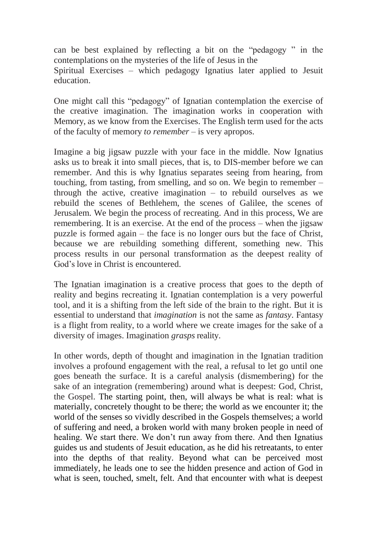can be best explained by reflecting a bit on the "pedagogy " in the contemplations on the mysteries of the life of Jesus in the Spiritual Exercises – which pedagogy Ignatius later applied to Jesuit education.

One might call this "pedagogy" of Ignatian contemplation the exercise of the creative imagination. The imagination works in cooperation with Memory, as we know from the Exercises. The English term used for the acts of the faculty of memory *to remember* – is very apropos.

Imagine a big jigsaw puzzle with your face in the middle. Now Ignatius asks us to break it into small pieces, that is, to DIS-member before we can remember. And this is why Ignatius separates seeing from hearing, from touching, from tasting, from smelling, and so on. We begin to remember – through the active, creative imagination  $-$  to rebuild ourselves as we rebuild the scenes of Bethlehem, the scenes of Galilee, the scenes of Jerusalem. We begin the process of recreating. And in this process, We are remembering. It is an exercise. At the end of the process – when the jigsaw puzzle is formed again – the face is no longer ours but the face of Christ, because we are rebuilding something different, something new. This process results in our personal transformation as the deepest reality of God's love in Christ is encountered.

The Ignatian imagination is a creative process that goes to the depth of reality and begins recreating it. Ignatian contemplation is a very powerful tool, and it is a shifting from the left side of the brain to the right. But it is essential to understand that *imagination* is not the same as *fantasy*. Fantasy is a flight from reality, to a world where we create images for the sake of a diversity of images. Imagination *grasps* reality.

In other words, depth of thought and imagination in the Ignatian tradition involves a profound engagement with the real, a refusal to let go until one goes beneath the surface. It is a careful analysis (dismembering) for the sake of an integration (remembering) around what is deepest: God, Christ, the Gospel. The starting point, then, will always be what is real: what is materially, concretely thought to be there; the world as we encounter it; the world of the senses so vividly described in the Gospels themselves; a world of suffering and need, a broken world with many broken people in need of healing. We start there. We don't run away from there. And then Ignatius guides us and students of Jesuit education, as he did his retreatants, to enter into the depths of that reality. Beyond what can be perceived most immediately, he leads one to see the hidden presence and action of God in what is seen, touched, smelt, felt. And that encounter with what is deepest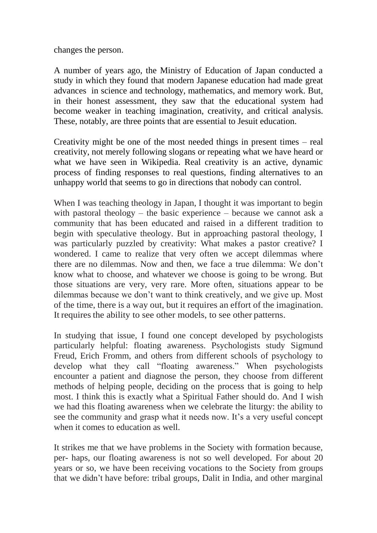changes the person.

A number of years ago, the Ministry of Education of Japan conducted a study in which they found that modern Japanese education had made great advances in science and technology, mathematics, and memory work. But, in their honest assessment, they saw that the educational system had become weaker in teaching imagination, creativity, and critical analysis. These, notably, are three points that are essential to Jesuit education.

Creativity might be one of the most needed things in present times – real creativity, not merely following slogans or repeating what we have heard or what we have seen in Wikipedia. Real creativity is an active, dynamic process of finding responses to real questions, finding alternatives to an unhappy world that seems to go in directions that nobody can control.

When I was teaching theology in Japan, I thought it was important to begin with pastoral theology – the basic experience – because we cannot ask a community that has been educated and raised in a different tradition to begin with speculative theology. But in approaching pastoral theology, I was particularly puzzled by creativity: What makes a pastor creative? I wondered. I came to realize that very often we accept dilemmas where there are no dilemmas. Now and then, we face a true dilemma: We don't know what to choose, and whatever we choose is going to be wrong. But those situations are very, very rare. More often, situations appear to be dilemmas because we don't want to think creatively, and we give up. Most of the time, there is a way out, but it requires an effort of the imagination. It requires the ability to see other models, to see other patterns.

In studying that issue, I found one concept developed by psychologists particularly helpful: floating awareness. Psychologists study Sigmund Freud, Erich Fromm, and others from different schools of psychology to develop what they call "floating awareness." When psychologists encounter a patient and diagnose the person, they choose from different methods of helping people, deciding on the process that is going to help most. I think this is exactly what a Spiritual Father should do. And I wish we had this floating awareness when we celebrate the liturgy: the ability to see the community and grasp what it needs now. It's a very useful concept when it comes to education as well.

It strikes me that we have problems in the Society with formation because, per- haps, our floating awareness is not so well developed. For about 20 years or so, we have been receiving vocations to the Society from groups that we didn't have before: tribal groups, Dalit in India, and other marginal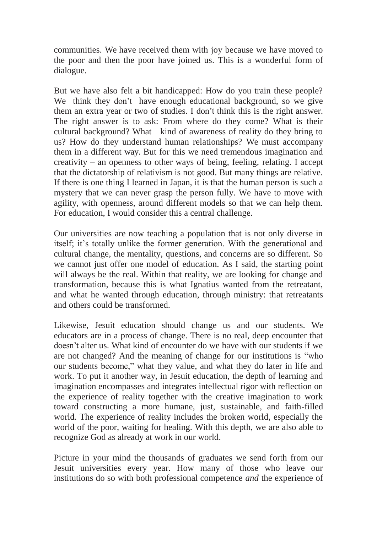communities. We have received them with joy because we have moved to the poor and then the poor have joined us. This is a wonderful form of dialogue.

But we have also felt a bit handicapped: How do you train these people? We think they don't have enough educational background, so we give them an extra year or two of studies. I don't think this is the right answer. The right answer is to ask: From where do they come? What is their cultural background? What kind of awareness of reality do they bring to us? How do they understand human relationships? We must accompany them in a different way. But for this we need tremendous imagination and creativity – an openness to other ways of being, feeling, relating. I accept that the dictatorship of relativism is not good. But many things are relative. If there is one thing I learned in Japan, it is that the human person is such a mystery that we can never grasp the person fully. We have to move with agility, with openness, around different models so that we can help them. For education, I would consider this a central challenge.

Our universities are now teaching a population that is not only diverse in itself; it's totally unlike the former generation. With the generational and cultural change, the mentality, questions, and concerns are so different. So we cannot just offer one model of education. As I said, the starting point will always be the real. Within that reality, we are looking for change and transformation, because this is what Ignatius wanted from the retreatant, and what he wanted through education, through ministry: that retreatants and others could be transformed.

Likewise, Jesuit education should change us and our students. We educators are in a process of change. There is no real, deep encounter that doesn't alter us. What kind of encounter do we have with our students if we are not changed? And the meaning of change for our institutions is "who our students become," what they value, and what they do later in life and work. To put it another way, in Jesuit education, the depth of learning and imagination encompasses and integrates intellectual rigor with reflection on the experience of reality together with the creative imagination to work toward constructing a more humane, just, sustainable, and faith-filled world. The experience of reality includes the broken world, especially the world of the poor, waiting for healing. With this depth, we are also able to recognize God as already at work in our world.

Picture in your mind the thousands of graduates we send forth from our Jesuit universities every year. How many of those who leave our institutions do so with both professional competence *and* the experience of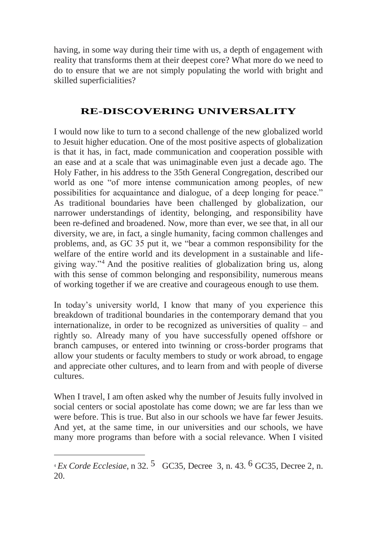having, in some way during their time with us, a depth of engagement with reality that transforms them at their deepest core? What more do we need to do to ensure that we are not simply populating the world with bright and skilled superficialities?

# **RE-DISCOVERING UNIVERSALITY**

I would now like to turn to a second challenge of the new globalized world to Jesuit higher education. One of the most positive aspects of globalization is that it has, in fact, made communication and cooperation possible with an ease and at a scale that was unimaginable even just a decade ago. The Holy Father, in his address to the 35th General Congregation, described our world as one "of more intense communication among peoples, of new possibilities for acquaintance and dialogue, of a deep longing for peace." As traditional boundaries have been challenged by globalization, our narrower understandings of identity, belonging, and responsibility have been re-defined and broadened. Now, more than ever, we see that, in all our diversity, we are, in fact, a single humanity, facing common challenges and problems, and, as GC 35 put it, we "bear a common responsibility for the welfare of the entire world and its development in a sustainable and lifegiving way."<sup>4</sup> And the positive realities of globalization bring us, along with this sense of common belonging and responsibility, numerous means of working together if we are creative and courageous enough to use them.

In today's university world, I know that many of you experience this breakdown of traditional boundaries in the contemporary demand that you internationalize, in order to be recognized as universities of quality – and rightly so. Already many of you have successfully opened offshore or branch campuses, or entered into twinning or cross-border programs that allow your students or faculty members to study or work abroad, to engage and appreciate other cultures, and to learn from and with people of diverse cultures.

When I travel, I am often asked why the number of Jesuits fully involved in social centers or social apostolate has come down; we are far less than we were before. This is true. But also in our schools we have far fewer Jesuits. And yet, at the same time, in our universities and our schools, we have many more programs than before with a social relevance. When I visited

<sup>4</sup> *Ex Corde Ecclesiae*, n 32. 5 GC35, Decree 3, n. 43. 6 GC35, Decree 2, n. 20.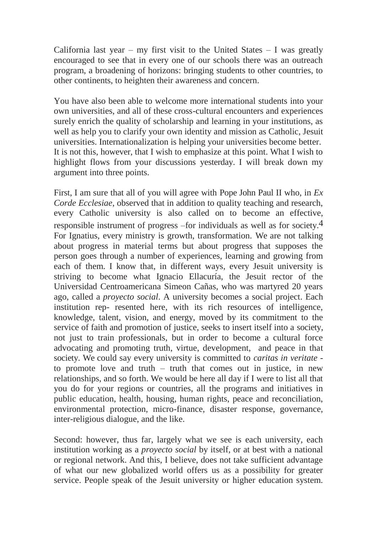California last year – my first visit to the United States – I was greatly encouraged to see that in every one of our schools there was an outreach program, a broadening of horizons: bringing students to other countries, to other continents, to heighten their awareness and concern.

You have also been able to welcome more international students into your own universities, and all of these cross-cultural encounters and experiences surely enrich the quality of scholarship and learning in your institutions, as well as help you to clarify your own identity and mission as Catholic, Jesuit universities. Internationalization is helping your universities become better. It is not this, however, that I wish to emphasize at this point. What I wish to highlight flows from your discussions yesterday. I will break down my argument into three points.

First, I am sure that all of you will agree with Pope John Paul II who, in *Ex Corde Ecclesiae*, observed that in addition to quality teaching and research, every Catholic university is also called on to become an effective, responsible instrument of progress –for individuals as well as for society.<sup>4</sup> For Ignatius, every ministry is growth, transformation. We are not talking about progress in material terms but about progress that supposes the person goes through a number of experiences, learning and growing from each of them. I know that, in different ways, every Jesuit university is striving to become what Ignacio Ellacuría, the Jesuit rector of the Universidad Centroamericana Simeon Cañas, who was martyred 20 years ago, called a *proyecto social*. A university becomes a social project. Each institution rep- resented here, with its rich resources of intelligence, knowledge, talent, vision, and energy, moved by its commitment to the service of faith and promotion of justice, seeks to insert itself into a society, not just to train professionals, but in order to become a cultural force advocating and promoting truth, virtue, development, and peace in that society. We could say every university is committed to *caritas in veritate*  to promote love and truth – truth that comes out in justice, in new relationships, and so forth. We would be here all day if I were to list all that you do for your regions or countries, all the programs and initiatives in public education, health, housing, human rights, peace and reconciliation, environmental protection, micro-finance, disaster response, governance, inter-religious dialogue, and the like.

Second: however, thus far, largely what we see is each university, each institution working as a *proyecto social* by itself, or at best with a national or regional network. And this, I believe, does not take sufficient advantage of what our new globalized world offers us as a possibility for greater service. People speak of the Jesuit university or higher education system.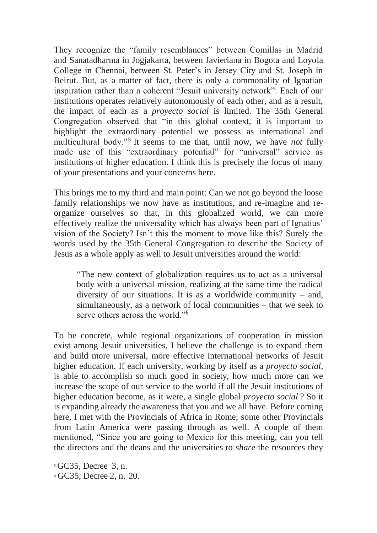They recognize the "family resemblances" between Comillas in Madrid and Sanatadharma in Jogjakarta, between Javieriana in Bogota and Loyola College in Chennai, between St. Peter's in Jersey City and St. Joseph in Beirut. But, as a matter of fact, there is only a commonality of Ignatian inspiration rather than a coherent "Jesuit university network": Each of our institutions operates relatively autonomously of each other, and as a result, the impact of each as a *proyecto social* is limited. The 35th General Congregation observed that "in this global context, it is important to highlight the extraordinary potential we possess as international and multicultural body."<sup>5</sup> It seems to me that, until now, we have *not* fully made use of this "extraordinary potential" for "universal" service as institutions of higher education. I think this is precisely the focus of many of your presentations and your concerns here.

This brings me to my third and main point: Can we not go beyond the loose family relationships we now have as institutions, and re-imagine and reorganize ourselves so that, in this globalized world, we can more effectively realize the universality which has always been part of Ignatius' vision of the Society? Isn't this the moment to move like this? Surely the words used by the 35th General Congregation to describe the Society of Jesus as a whole apply as well to Jesuit universities around the world:

"The new context of globalization requires us to act as a universal body with a universal mission, realizing at the same time the radical diversity of our situations. It is as a worldwide community – and, simultaneously, as a network of local communities – that we seek to serve others across the world."<sup>6</sup>

To be concrete, while regional organizations of cooperation in mission exist among Jesuit universities, I believe the challenge is to expand them and build more universal, more effective international networks of Jesuit higher education. If each university, working by itself as a *proyecto social*, is able to accomplish so much good in society, how much more can we increase the scope of our service to the world if all the Jesuit institutions of higher education become, as it were, a single global *proyecto social* ? So it is expanding already the awareness that you and we all have. Before coming here, I met with the Provincials of Africa in Rome; some other Provincials from Latin America were passing through as well. A couple of them mentioned, "Since you are going to Mexico for this meeting, can you tell the directors and the deans and the universities to *share* the resources they

<sup>5</sup> GC35, Decree 3, n.

<sup>6</sup> GC35, Decree 2, n. 20.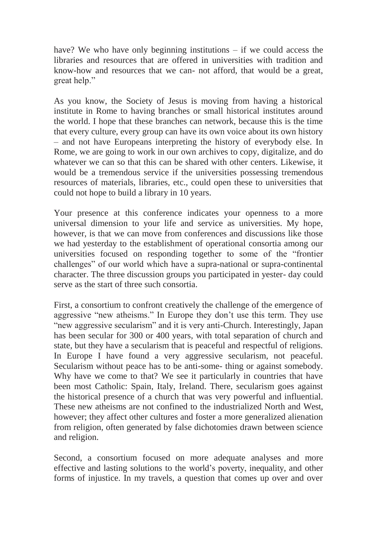have? We who have only beginning institutions – if we could access the libraries and resources that are offered in universities with tradition and know-how and resources that we can- not afford, that would be a great, great help."

As you know, the Society of Jesus is moving from having a historical institute in Rome to having branches or small historical institutes around the world. I hope that these branches can network, because this is the time that every culture, every group can have its own voice about its own history – and not have Europeans interpreting the history of everybody else. In Rome, we are going to work in our own archives to copy, digitalize, and do whatever we can so that this can be shared with other centers. Likewise, it would be a tremendous service if the universities possessing tremendous resources of materials, libraries, etc., could open these to universities that could not hope to build a library in 10 years.

Your presence at this conference indicates your openness to a more universal dimension to your life and service as universities. My hope, however, is that we can move from conferences and discussions like those we had yesterday to the establishment of operational consortia among our universities focused on responding together to some of the "frontier challenges" of our world which have a supra-national or supra-continental character. The three discussion groups you participated in yester- day could serve as the start of three such consortia.

First, a consortium to confront creatively the challenge of the emergence of aggressive "new atheisms." In Europe they don't use this term. They use "new aggressive secularism" and it is very anti-Church. Interestingly, Japan has been secular for 300 or 400 years, with total separation of church and state, but they have a secularism that is peaceful and respectful of religions. In Europe I have found a very aggressive secularism, not peaceful. Secularism without peace has to be anti-some- thing or against somebody. Why have we come to that? We see it particularly in countries that have been most Catholic: Spain, Italy, Ireland. There, secularism goes against the historical presence of a church that was very powerful and influential. These new atheisms are not confined to the industrialized North and West, however; they affect other cultures and foster a more generalized alienation from religion, often generated by false dichotomies drawn between science and religion.

Second, a consortium focused on more adequate analyses and more effective and lasting solutions to the world's poverty, inequality, and other forms of injustice. In my travels, a question that comes up over and over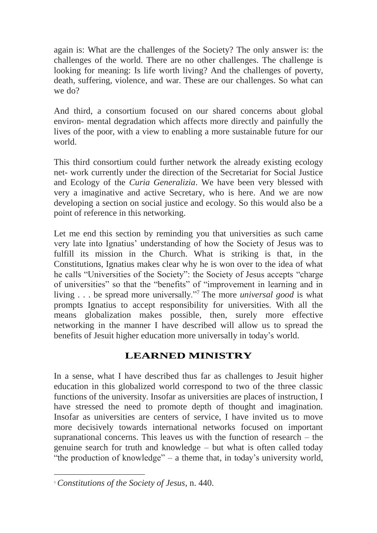again is: What are the challenges of the Society? The only answer is: the challenges of the world. There are no other challenges. The challenge is looking for meaning: Is life worth living? And the challenges of poverty, death, suffering, violence, and war. These are our challenges. So what can we do?

And third, a consortium focused on our shared concerns about global environ- mental degradation which affects more directly and painfully the lives of the poor, with a view to enabling a more sustainable future for our world.

This third consortium could further network the already existing ecology net- work currently under the direction of the Secretariat for Social Justice and Ecology of the *Curia Generalizia*. We have been very blessed with very a imaginative and active Secretary, who is here. And we are now developing a section on social justice and ecology. So this would also be a point of reference in this networking.

Let me end this section by reminding you that universities as such came very late into Ignatius' understanding of how the Society of Jesus was to fulfill its mission in the Church. What is striking is that, in the Constitutions, Ignatius makes clear why he is won over to the idea of what he calls "Universities of the Society": the Society of Jesus accepts "charge of universities" so that the "benefits" of "improvement in learning and in living . . . be spread more universally."<sup>7</sup> The more *universal good* is what prompts Ignatius to accept responsibility for universities. With all the means globalization makes possible, then, surely more effective networking in the manner I have described will allow us to spread the benefits of Jesuit higher education more universally in today's world.

# **LEARNED MINISTRY**

In a sense, what I have described thus far as challenges to Jesuit higher education in this globalized world correspond to two of the three classic functions of the university. Insofar as universities are places of instruction, I have stressed the need to promote depth of thought and imagination. Insofar as universities are centers of service, I have invited us to move more decisively towards international networks focused on important supranational concerns. This leaves us with the function of research – the genuine search for truth and knowledge – but what is often called today "the production of knowledge" – a theme that, in today's university world,

<sup>7</sup> *Constitutions of the Society of Jesus*, n. 440.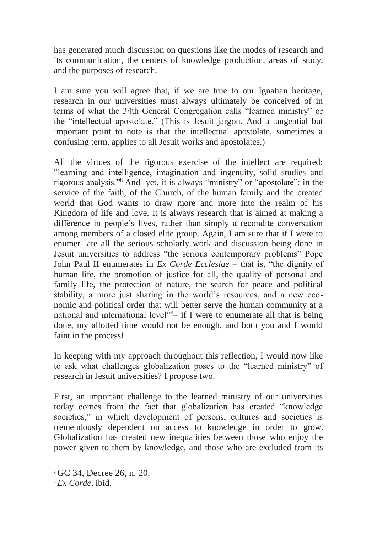has generated much discussion on questions like the modes of research and its communication, the centers of knowledge production, areas of study, and the purposes of research.

I am sure you will agree that, if we are true to our Ignatian heritage, research in our universities must always ultimately be conceived of in terms of what the 34th General Congregation calls "learned ministry" or the "intellectual apostolate." (This is Jesuit jargon. And a tangential but important point to note is that the intellectual apostolate, sometimes a confusing term, applies to all Jesuit works and apostolates.)

All the virtues of the rigorous exercise of the intellect are required: "learning and intelligence, imagination and ingenuity, solid studies and rigorous analysis."<sup>8</sup> And yet, it is always "ministry" or "apostolate": in the service of the faith, of the Church, of the human family and the created world that God wants to draw more and more into the realm of his Kingdom of life and love. It is always research that is aimed at making a difference in people's lives, rather than simply a recondite conversation among members of a closed elite group. Again, I am sure that if I were to enumer- ate all the serious scholarly work and discussion being done in Jesuit universities to address "the serious contemporary problems" Pope John Paul II enumerates in *Ex Corde Ecclesiae* – that is, "the dignity of human life, the promotion of justice for all, the quality of personal and family life, the protection of nature, the search for peace and political stability, a more just sharing in the world's resources, and a new economic and political order that will better serve the human community at a national and international level<sup> $\mathfrak{B}^9$ </sup> if I were to enumerate all that is being done, my allotted time would not be enough, and both you and I would faint in the process!

In keeping with my approach throughout this reflection, I would now like to ask what challenges globalization poses to the "learned ministry" of research in Jesuit universities? I propose two.

First, an important challenge to the learned ministry of our universities today comes from the fact that globalization has created "knowledge societies," in which development of persons, cultures and societies is tremendously dependent on access to knowledge in order to grow. Globalization has created new inequalities between those who enjoy the power given to them by knowledge, and those who are excluded from its

<u>.</u>

<sup>8</sup> GC 34, Decree 26, n. 20.

<sup>9</sup> *Ex Corde*, ibid.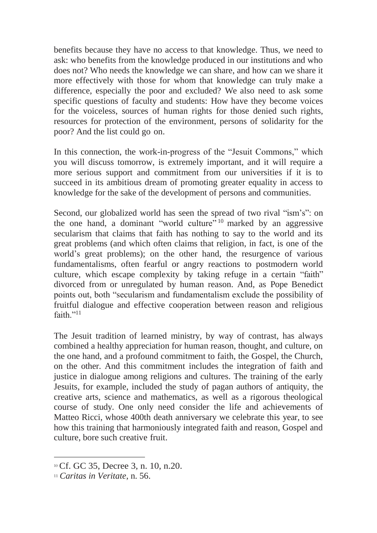benefits because they have no access to that knowledge. Thus, we need to ask: who benefits from the knowledge produced in our institutions and who does not? Who needs the knowledge we can share, and how can we share it more effectively with those for whom that knowledge can truly make a difference, especially the poor and excluded? We also need to ask some specific questions of faculty and students: How have they become voices for the voiceless, sources of human rights for those denied such rights, resources for protection of the environment, persons of solidarity for the poor? And the list could go on.

In this connection, the work-in-progress of the "Jesuit Commons," which you will discuss tomorrow, is extremely important, and it will require a more serious support and commitment from our universities if it is to succeed in its ambitious dream of promoting greater equality in access to knowledge for the sake of the development of persons and communities.

Second, our globalized world has seen the spread of two rival "ism's": on the one hand, a dominant "world culture" <sup>10</sup> marked by an aggressive secularism that claims that faith has nothing to say to the world and its great problems (and which often claims that religion, in fact, is one of the world's great problems); on the other hand, the resurgence of various fundamentalisms, often fearful or angry reactions to postmodern world culture, which escape complexity by taking refuge in a certain "faith" divorced from or unregulated by human reason. And, as Pope Benedict points out, both "secularism and fundamentalism exclude the possibility of fruitful dialogue and effective cooperation between reason and religious faith. $"$ <sup>11</sup>

The Jesuit tradition of learned ministry, by way of contrast, has always combined a healthy appreciation for human reason, thought, and culture, on the one hand, and a profound commitment to faith, the Gospel, the Church, on the other. And this commitment includes the integration of faith and justice in dialogue among religions and cultures. The training of the early Jesuits, for example, included the study of pagan authors of antiquity, the creative arts, science and mathematics, as well as a rigorous theological course of study. One only need consider the life and achievements of Matteo Ricci, whose 400th death anniversary we celebrate this year, to see how this training that harmoniously integrated faith and reason, Gospel and culture, bore such creative fruit.

<sup>10</sup> Cf. GC 35, Decree 3, n. 10, n.20.

<sup>11</sup> *Caritas in Veritate*, n. 56.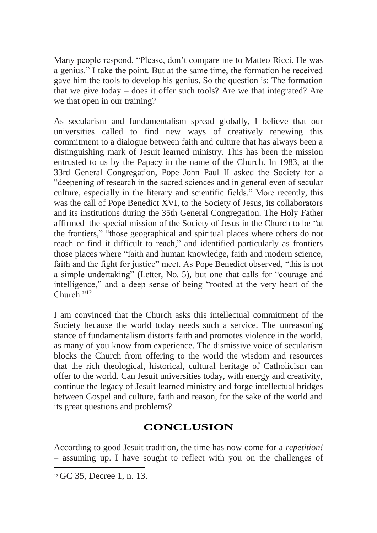Many people respond, "Please, don't compare me to Matteo Ricci. He was a genius." I take the point. But at the same time, the formation he received gave him the tools to develop his genius. So the question is: The formation that we give today – does it offer such tools? Are we that integrated? Are we that open in our training?

As secularism and fundamentalism spread globally, I believe that our universities called to find new ways of creatively renewing this commitment to a dialogue between faith and culture that has always been a distinguishing mark of Jesuit learned ministry. This has been the mission entrusted to us by the Papacy in the name of the Church. In 1983, at the 33rd General Congregation, Pope John Paul II asked the Society for a "deepening of research in the sacred sciences and in general even of secular culture, especially in the literary and scientific fields." More recently, this was the call of Pope Benedict XVI, to the Society of Jesus, its collaborators and its institutions during the 35th General Congregation. The Holy Father affirmed the special mission of the Society of Jesus in the Church to be "at the frontiers," "those geographical and spiritual places where others do not reach or find it difficult to reach," and identified particularly as frontiers those places where "faith and human knowledge, faith and modern science, faith and the fight for justice" meet. As Pope Benedict observed, "this is not a simple undertaking" (Letter, No. 5), but one that calls for "courage and intelligence," and a deep sense of being "rooted at the very heart of the Church."<sup>12</sup>

I am convinced that the Church asks this intellectual commitment of the Society because the world today needs such a service. The unreasoning stance of fundamentalism distorts faith and promotes violence in the world, as many of you know from experience. The dismissive voice of secularism blocks the Church from offering to the world the wisdom and resources that the rich theological, historical, cultural heritage of Catholicism can offer to the world. Can Jesuit universities today, with energy and creativity, continue the legacy of Jesuit learned ministry and forge intellectual bridges between Gospel and culture, faith and reason, for the sake of the world and its great questions and problems?

# **CONCLUSION**

According to good Jesuit tradition, the time has now come for a *repetition!*  – assuming up. I have sought to reflect with you on the challenges of

<sup>12</sup> GC 35, Decree 1, n. 13.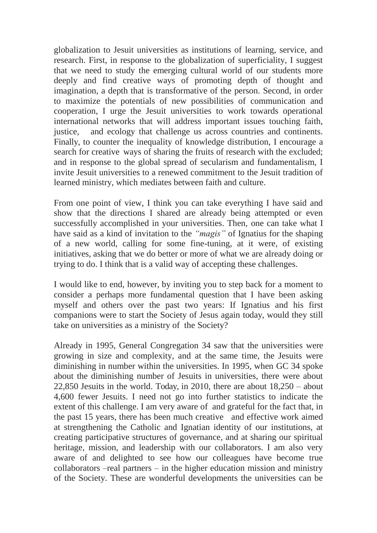globalization to Jesuit universities as institutions of learning, service, and research. First, in response to the globalization of superficiality, I suggest that we need to study the emerging cultural world of our students more deeply and find creative ways of promoting depth of thought and imagination, a depth that is transformative of the person. Second, in order to maximize the potentials of new possibilities of communication and cooperation, I urge the Jesuit universities to work towards operational international networks that will address important issues touching faith, justice, and ecology that challenge us across countries and continents. Finally, to counter the inequality of knowledge distribution, I encourage a search for creative ways of sharing the fruits of research with the excluded; and in response to the global spread of secularism and fundamentalism, I invite Jesuit universities to a renewed commitment to the Jesuit tradition of learned ministry, which mediates between faith and culture.

From one point of view, I think you can take everything I have said and show that the directions I shared are already being attempted or even successfully accomplished in your universities. Then, one can take what I have said as a kind of invitation to the *"magis"* of Ignatius for the shaping of a new world, calling for some fine-tuning, at it were, of existing initiatives, asking that we do better or more of what we are already doing or trying to do. I think that is a valid way of accepting these challenges.

I would like to end, however, by inviting you to step back for a moment to consider a perhaps more fundamental question that I have been asking myself and others over the past two years: If Ignatius and his first companions were to start the Society of Jesus again today, would they still take on universities as a ministry of the Society?

Already in 1995, General Congregation 34 saw that the universities were growing in size and complexity, and at the same time, the Jesuits were diminishing in number within the universities. In 1995, when GC 34 spoke about the diminishing number of Jesuits in universities, there were about 22,850 Jesuits in the world. Today, in 2010, there are about 18,250 – about 4,600 fewer Jesuits. I need not go into further statistics to indicate the extent of this challenge. I am very aware of and grateful for the fact that, in the past 15 years, there has been much creative and effective work aimed at strengthening the Catholic and Ignatian identity of our institutions, at creating participative structures of governance, and at sharing our spiritual heritage, mission, and leadership with our collaborators. I am also very aware of and delighted to see how our colleagues have become true  $collaborators$  –real partners – in the higher education mission and ministry of the Society. These are wonderful developments the universities can be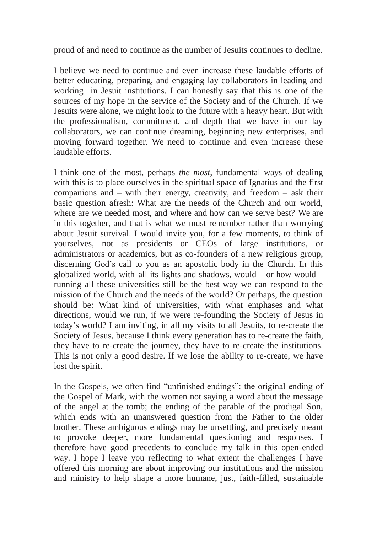proud of and need to continue as the number of Jesuits continues to decline.

I believe we need to continue and even increase these laudable efforts of better educating, preparing, and engaging lay collaborators in leading and working in Jesuit institutions. I can honestly say that this is one of the sources of my hope in the service of the Society and of the Church. If we Jesuits were alone, we might look to the future with a heavy heart. But with the professionalism, commitment, and depth that we have in our lay collaborators, we can continue dreaming, beginning new enterprises, and moving forward together. We need to continue and even increase these laudable efforts.

I think one of the most, perhaps *the most*, fundamental ways of dealing with this is to place ourselves in the spiritual space of Ignatius and the first companions and – with their energy, creativity, and freedom – ask their basic question afresh: What are the needs of the Church and our world, where are we needed most, and where and how can we serve best? We are in this together, and that is what we must remember rather than worrying about Jesuit survival. I would invite you, for a few moments, to think of yourselves, not as presidents or CEOs of large institutions, or administrators or academics, but as co-founders of a new religious group, discerning God's call to you as an apostolic body in the Church. In this globalized world, with all its lights and shadows, would – or how would – running all these universities still be the best way we can respond to the mission of the Church and the needs of the world? Or perhaps, the question should be: What kind of universities, with what emphases and what directions, would we run, if we were re-founding the Society of Jesus in today's world? I am inviting, in all my visits to all Jesuits, to re-create the Society of Jesus, because I think every generation has to re-create the faith, they have to re-create the journey, they have to re-create the institutions. This is not only a good desire. If we lose the ability to re-create, we have lost the spirit.

In the Gospels, we often find "unfinished endings": the original ending of the Gospel of Mark, with the women not saying a word about the message of the angel at the tomb; the ending of the parable of the prodigal Son, which ends with an unanswered question from the Father to the older brother. These ambiguous endings may be unsettling, and precisely meant to provoke deeper, more fundamental questioning and responses. I therefore have good precedents to conclude my talk in this open-ended way. I hope I leave you reflecting to what extent the challenges I have offered this morning are about improving our institutions and the mission and ministry to help shape a more humane, just, faith-filled, sustainable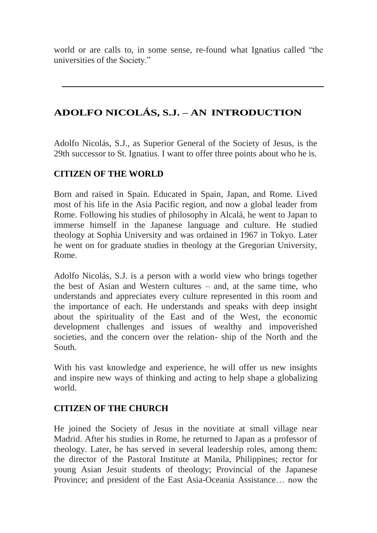world or are calls to, in some sense, re-found what Ignatius called "the universities of the Society."

# **ADOLFO NICOLÁS, S.J. – AN INTRODUCTION**

Adolfo Nicolás, S.J., as Superior General of the Society of Jesus, is the 29th successor to St. Ignatius. I want to offer three points about who he is.

## **CITIZEN OF THE WORLD**

Born and raised in Spain. Educated in Spain, Japan, and Rome. Lived most of his life in the Asia Pacific region, and now a global leader from Rome. Following his studies of philosophy in Alcalá, he went to Japan to immerse himself in the Japanese language and culture. He studied theology at Sophia University and was ordained in 1967 in Tokyo. Later he went on for graduate studies in theology at the Gregorian University, Rome.

Adolfo Nicolás, S.J. is a person with a world view who brings together the best of Asian and Western cultures – and, at the same time, who understands and appreciates every culture represented in this room and the importance of each. He understands and speaks with deep insight about the spirituality of the East and of the West, the economic development challenges and issues of wealthy and impoverished societies, and the concern over the relation- ship of the North and the South.

With his vast knowledge and experience, he will offer us new insights and inspire new ways of thinking and acting to help shape a globalizing world.

### **CITIZEN OF THE CHURCH**

He joined the Society of Jesus in the novitiate at small village near Madrid. After his studies in Rome, he returned to Japan as a professor of theology. Later, he has served in several leadership roles, among them: the director of the Pastoral Institute at Manila, Philippines; rector for young Asian Jesuit students of theology; Provincial of the Japanese Province; and president of the East Asia-Oceania Assistance… now the